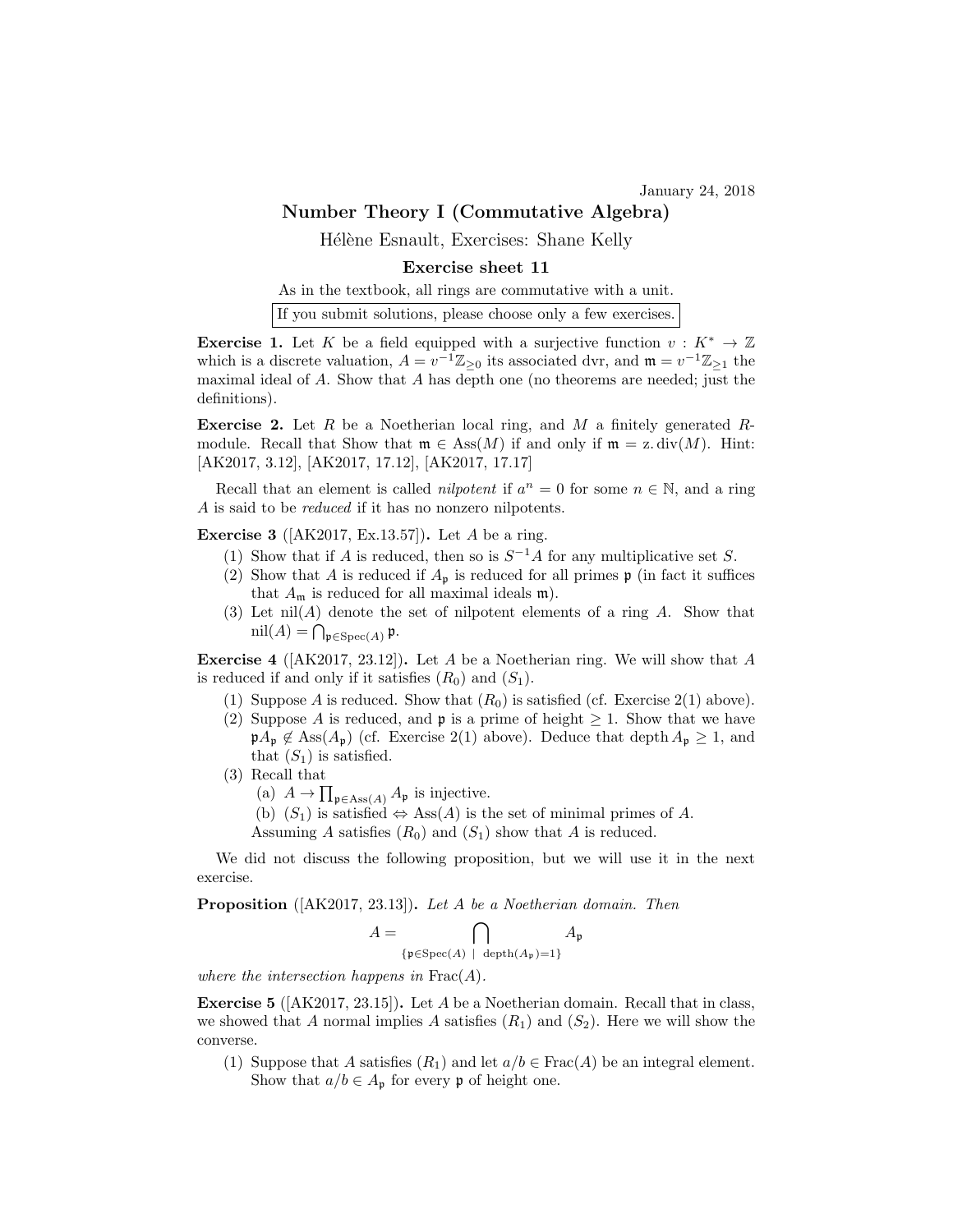January 24, 2018

## Number Theory I (Commutative Algebra)

Hélène Esnault, Exercises: Shane Kelly

## Exercise sheet 11

As in the textbook, all rings are commutative with a unit.

If you submit solutions, please choose only a few exercises.

**Exercise 1.** Let K be a field equipped with a surjective function  $v: K^* \to \mathbb{Z}$ which is a discrete valuation,  $A = v^{-1} \mathbb{Z}_{\geq 0}$  its associated dvr, and  $\mathfrak{m} = v^{-1} \mathbb{Z}_{\geq 1}$  the maximal ideal of  $A$ . Show that  $A$  has depth one (no theorems are needed; just the definitions).

**Exercise 2.** Let R be a Noetherian local ring, and M a finitely generated Rmodule. Recall that Show that  $\mathfrak{m} \in \text{Ass}(M)$  if and only if  $\mathfrak{m} = \mathfrak{z} \cdot \text{div}(M)$ . Hint: [AK2017, 3.12], [AK2017, 17.12], [AK2017, 17.17]

Recall that an element is called *nilpotent* if  $a^n = 0$  for some  $n \in \mathbb{N}$ , and a ring A is said to be *reduced* if it has no nonzero nilpotents.

**Exercise 3** ( $AK2017$ , Ex.13.57). Let A be a ring.

- (1) Show that if A is reduced, then so is  $S^{-1}A$  for any multiplicative set S.
- (2) Show that A is reduced if  $A_{\mathfrak{p}}$  is reduced for all primes  $\mathfrak{p}$  (in fact it suffices that  $A_{\mathfrak{m}}$  is reduced for all maximal ideals  $\mathfrak{m}$ ).
- (3) Let  $nil(A)$  denote the set of nilpotent elements of a ring  $A$ . Show that  $\mathrm{nil}(A) = \bigcap_{\mathfrak{p} \in \mathrm{Spec}(A)} \mathfrak{p}.$

**Exercise 4** ( $[AK2017, 23.12]$ ). Let A be a Noetherian ring. We will show that A is reduced if and only if it satisfies  $(R_0)$  and  $(S_1)$ .

- (1) Suppose A is reduced. Show that  $(R_0)$  is satisfied (cf. Exercise 2(1) above).
- (2) Suppose A is reduced, and **p** is a prime of height  $\geq 1$ . Show that we have  $\mathfrak{p}A_{\mathfrak{p}} \notin \text{Ass}(A_{\mathfrak{p}})$  (cf. Exercise 2(1) above). Deduce that depth  $A_{\mathfrak{p}} \geq 1$ , and that  $(S_1)$  is satisfied.
- (3) Recall that
	- (a)  $A \to \prod_{\mathfrak{p} \in \text{Ass}(A)} A_{\mathfrak{p}}$  is injective.
	- (b)  $(S_1)$  is satisfied  $\Leftrightarrow$  Ass $(A)$  is the set of minimal primes of A.
	- Assuming A satisfies  $(R_0)$  and  $(S_1)$  show that A is reduced.

We did not discuss the following proposition, but we will use it in the next exercise.

Proposition ([AK2017, 23.13]). Let A be a Noetherian domain. Then

$$
A = \bigcap_{\{\mathfrak{p} \in \mathrm{Spec}(A) \ | \ \mathrm{depth}(A_{\mathfrak{p}}) = 1\}} A_{\mathfrak{p}}
$$

where the intersection happens in  $Frac(A)$ .

**Exercise 5** ( $[AK2017, 23.15]$ ). Let A be a Noetherian domain. Recall that in class, we showed that A normal implies A satisfies  $(R_1)$  and  $(S_2)$ . Here we will show the converse.

(1) Suppose that A satisfies  $(R_1)$  and let  $a/b \in Frac(A)$  be an integral element. Show that  $a/b \in A_{\mathfrak{p}}$  for every  $\mathfrak{p}$  of height one.